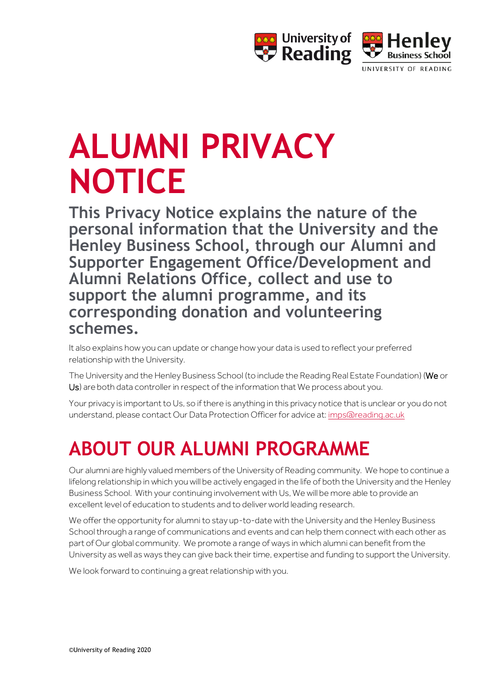

# **ALUMNI PRIVACY NOTICE**

**This Privacy Notice explains the nature of the personal information that the University and the Henley Business School, through our Alumni and Supporter Engagement Office/Development and Alumni Relations Office, collect and use to support the alumni programme, and its corresponding donation and volunteering schemes.** 

It also explains how you can update or change how your data is used to reflect your preferred relationship with the University.

The University and the Henley Business School (to include the Reading Real Estate Foundation) (We or Us) are both data controller in respect of the information that We process about you.

Your privacy is important to Us, so if there is anything in this privacy notice that is unclear or you do not understand, please contact Our Data Protection Officer for advice at[: imps@reading.ac.uk](mailto:imps@reading.ac.uk)

### **ABOUT OUR ALUMNI PROGRAMME**

Our alumni are highly valued members of the University of Reading community. We hope to continue a lifelong relationship in which you will be actively engaged in the life of both the University and the Henley Business School. With your continuing involvement with Us, We will be more able to provide an excellent level of education to students and to deliver world leading research.

We offer the opportunity for alumni to stay up-to-date with the University and the Henley Business School through a range of communications and events and can help them connect with each other as part of Our global community. We promote a range of ways in which alumni can benefit from the University as well as ways they can give back their time, expertise and funding to support the University.

We look forward to continuing a great relationship with you.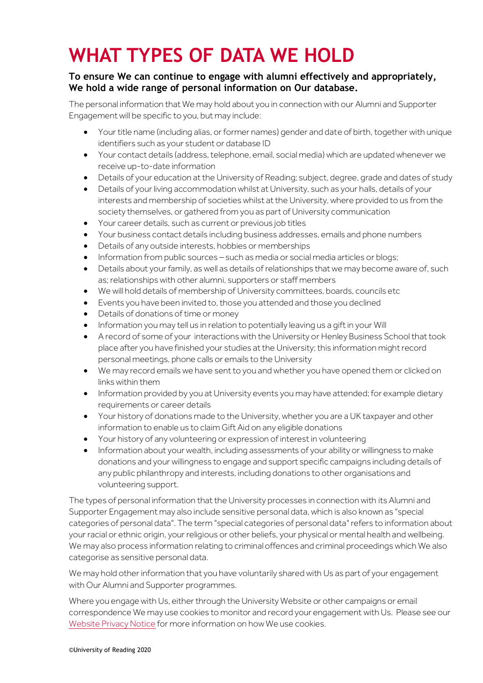### **WHAT TYPES OF DATA WE HOLD**

#### **To ensure We can continue to engage with alumni effectively and appropriately, We hold a wide range of personal information on Our database.**

The personal information that We may hold about you in connection with our Alumni and Supporter Engagement will be specific to you, but may include:

- Your title name (including alias, or former names) gender and date of birth, together with unique identifiers such as your student or database ID
- Your contact details (address, telephone, email, social media) which are updated whenever we receive up-to-date information
- Details of your education at the University of Reading; subject, degree, grade and dates of study
- Details of your living accommodation whilst at University, such as your halls, details of your interests and membership of societies whilst at the University, where provided to us from the society themselves, or gathered from you as part of University communication
- Your career details, such as current or previous job titles
- Your business contact details including business addresses, emails and phone numbers
- Details of any outside interests, hobbies or memberships
- Information from public sources such as media or social media articles or blogs;
- Details about your family, as well as details of relationships that we may become aware of, such as; relationships with other alumni, supporters or staff members
- We will hold details of membership of University committees, boards, councils etc
- Events you have been invited to, those you attended and those you declined
- Details of donations of time or money
- Information you may tell us in relation to potentially leaving us a gift in your Will
- A record of some of your interactions with the University or Henley Business School that took place after you have finished your studies at the University; this information might record personal meetings, phone calls or emails to the University
- We may record emails we have sent to you and whether you have opened them or clicked on links within them
- Information provided by you at University events you may have attended; for example dietary requirements or career details
- Your history of donations made to the University, whether you are a UK taxpayer and other information to enable us to claim Gift Aid on any eligible donations
- Your history of any volunteering or expression of interest in volunteering
- Information about your wealth, including assessments of your ability or willingness to make donations and your willingness to engage and support specific campaigns including details of any public philanthropy and interests, including donations to other organisations and volunteering support.

The types of personal information that the University processes in connection with its Alumni and Supporter Engagement may also include sensitive personal data, which is also known as "special categories of personal data". The term "special categories of personal data" refers to information about your racial or ethnic origin, your religious or other beliefs, your physical or mental health and wellbeing. We may also process information relating to criminal offences and criminal proceedings which We also categorise as sensitive personal data.

We may hold other information that you have voluntarily shared with Us as part of your engagement with Our Alumni and Supporter programmes.

Where you engage with Us, either through the University Website or other campaigns or email correspondence We may use cookies to monitor and record your engagement with Us. Please see our [Website Privacy Notice](http://www.reading.ac.uk/15/about/about-privacy.aspx#cookies) for more information on how We use cookies.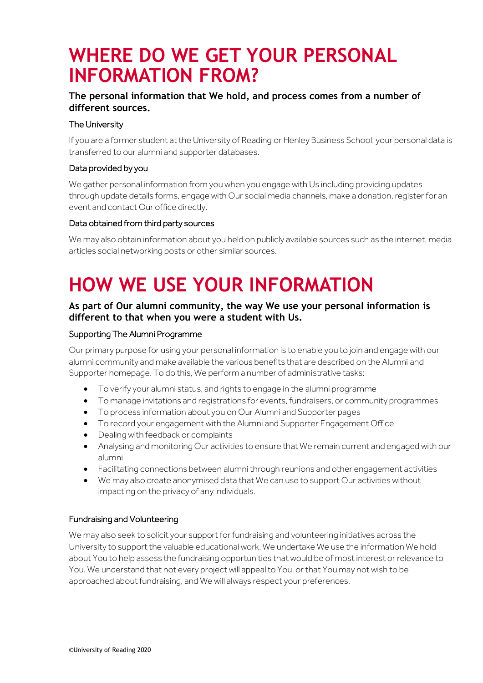### **WHERE DO WE GET YOUR PERSONAL INFORMATION FROM?**

#### **The personal information that We hold, and process comes from a number of different sources.**

#### The University

If you are a former student at the University of Reading or Henley Business School, your personal data is transferred to our alumni and supporter databases.

#### Data provided by you

We gather personal information from you when you engage with Us including providing updates through update details forms, engage with Our social media channels, make a donation, register for an event and contact Our office directly.

#### Data obtained from third party sources

We may also obtain information about you held on publicly available sources such as the internet, media articles social networking posts or other similar sources.

### **HOW WE USE YOUR INFORMATION**

#### **As part of Our alumni community, the way We use your personal information is different to that when you were a student with Us.**

#### Supporting The Alumni Programme

Our primary purpose for using your personal information is to enable you to join and engage with our alumni community and make available the various benefits that are described on the Alumni and Supporter homepage. To do this, We perform a number of administrative tasks:

- To verify your alumni status, and rights to engage in the alumni programme
- To manage invitations and registrations for events, fundraisers, or community programmes
- To process information about you on Our Alumni and Supporter pages
- To record your engagement with the Alumni and Supporter Engagement Office
- Dealing with feedback or complaints
- Analysing and monitoring Our activities to ensure that We remain current and engaged with our alumni
- Facilitating connections between alumni through reunions and other engagement activities
- We may also create anonymised data that We can use to support Our activities without impacting on the privacy of any individuals.

#### Fundraising and Volunteering

We may also seek to solicit your support for fundraising and volunteering initiatives across the University to support the valuable educational work. We undertake We use the information We hold about You to help assess the fundraising opportunities that would be of most interest or relevance to You. We understand that not every project will appeal to You, or that You may not wish to be approached about fundraising, and We will always respect your preferences.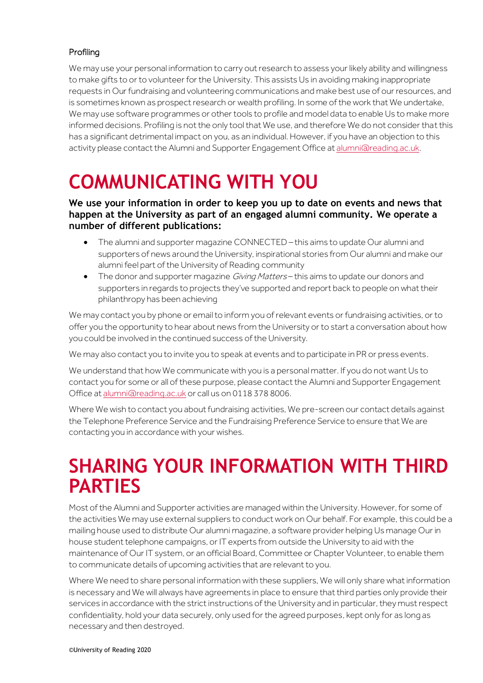#### Profiling

We may use your personal information to carry out research to assess your likely ability and willingness to make gifts to or to volunteer for the University. This assists Us in avoiding making inappropriate requests in Our fundraising and volunteering communications and make best use of our resources, and is sometimes known as prospect research or wealth profiling. In some of the work that We undertake, We may use software programmes or other tools to profile and model data to enable Us to make more informed decisions. Profiling is not the only tool that We use, and therefore We do not consider that this has a significant detrimental impact on you, as an individual. However, if you have an objection to this activity please contact the Alumni and Supporter Engagement Office a[t alumni@reading.ac.uk.](mailto:alumni@reading.ac.uk)

### **COMMUNICATING WITH YOU**

#### **We use your information in order to keep you up to date on events and news that happen at the University as part of an engaged alumni community. We operate a number of different publications:**

- The alumni and supporter magazine CONNECTED this aims to update Our alumni and supporters of news around the University, inspirational stories from Our alumni and make our alumni feel part of the University of Reading community
- The donor and supporter magazine *Giving Matters* this aims to update our donors and supporters in regards to projects they've supported and report back to people on what their philanthropy has been achieving

We may contact you by phone or email to inform you of relevant events or fundraising activities, or to offer you the opportunity to hear about news from the University or to start a conversation about how you could be involved in the continued success of the University.

We may also contact you to invite you to speak at events and to participate in PR or press events.

We understand that how We communicate with you is a personal matter. If you do not want Us to contact you for some or all of these purpose, please contact the Alumni and Supporter Engagement Office at [alumni@reading.ac.uk](mailto:alumni@reading.ac.uk) or call us on 0118 378 8006.

Where We wish to contact you about fundraising activities, We pre-screen our contact details against the Telephone Preference Service and the Fundraising Preference Service to ensure that We are contacting you in accordance with your wishes.

### **SHARING YOUR INFORMATION WITH THIRD PARTIES**

Most of the Alumni and Supporter activities are managed within the University. However, for some of the activities We may use external suppliers to conduct work on Our behalf. For example, this could be a mailing house used to distribute Our alumni magazine, a software provider helping Us manage Our in house student telephone campaigns, or IT experts from outside the University to aid with the maintenance of Our IT system, or an official Board, Committee or Chapter Volunteer, to enable them to communicate details of upcoming activities that are relevant to you.

Where We need to share personal information with these suppliers, We will only share what information is necessary and We will always have agreements in place to ensure that third parties only provide their services in accordance with the strict instructions of the University and in particular, they must respect confidentiality, hold your data securely, only used for the agreed purposes, kept only for as long as necessary and then destroyed.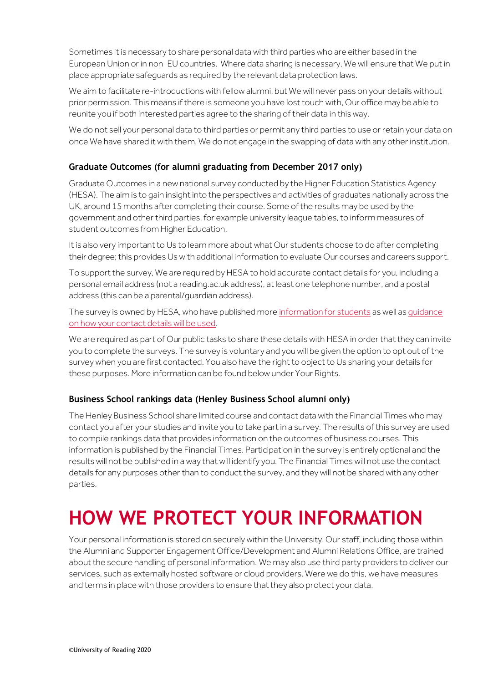Sometimes it is necessary to share personal data with third parties who are either based in the European Union or in non-EU countries. Where data sharing is necessary, We will ensure that We put in place appropriate safeguards as required by the relevant data protection laws.

We aim to facilitate re-introductions with fellow alumni, but We will never pass on your details without prior permission. This means if there is someone you have lost touch with, Our office may be able to reunite you if both interested parties agree to the sharing of their data in this way.

We do not sell your personal data to third parties or permit any third parties to use or retain your data on once We have shared it with them. We do not engage in the swapping of data with any other institution.

#### **Graduate Outcomes (for alumni graduating from December 2017 only)**

Graduate Outcomes in a new national survey conducted by the Higher Education Statistics Agency (HESA). The aim is to gain insight into the perspectives and activities of graduates nationally across the UK, around 15 months after completing their course. Some of the results may be used by the government and other third parties, for example university league tables, to inform measures of student outcomes from Higher Education.

It is also very important to Us to learn more about what Our students choose to do after completing their degree; this provides Us with additional information to evaluate Our courses and careers support.

To support the survey, We are required by HESA to hold accurate contact details for you, including a personal email address (not a reading.ac.uk address), at least one telephone number, and a postal address (this can be a parental/guardian address).

The survey is owned by HESA, who have published mor[e information for students](https://www.hesa.ac.uk/innovation/outcomes/students) as well a[s guidance](https://www.hesa.ac.uk/about/regulation/data-protection/notices)  [on how your contact details will be used.](https://www.hesa.ac.uk/about/regulation/data-protection/notices)

We are required as part of Our public tasks to share these details with HESA in order that they can invite you to complete the surveys. The survey is voluntary and you will be given the option to opt out of the survey when you are first contacted. You also have the right to object to Us sharing your details for these purposes. More information can be found below under Your Rights.

#### **Business School rankings data (Henley Business School alumni only)**

The Henley Business School share limited course and contact data with the Financial Times who may contact you after your studies and invite you to take part in a survey. The results of this survey are used to compile rankings data that provides information on the outcomes of business courses. This information is published by the Financial Times. Participation in the survey is entirely optional and the results will not be published in a way that will identify you. The Financial Times will not use the contact details for any purposes other than to conduct the survey, and they will not be shared with any other parties.

### **HOW WE PROTECT YOUR INFORMATION**

Your personal information is stored on securely within the University. Our staff, including those within the Alumni and Supporter Engagement Office/Development and Alumni Relations Office, are trained about the secure handling of personal information. We may also use third party providers to deliver our services, such as externally hosted software or cloud providers. Were we do this, we have measures and terms in place with those providers to ensure that they also protect your data.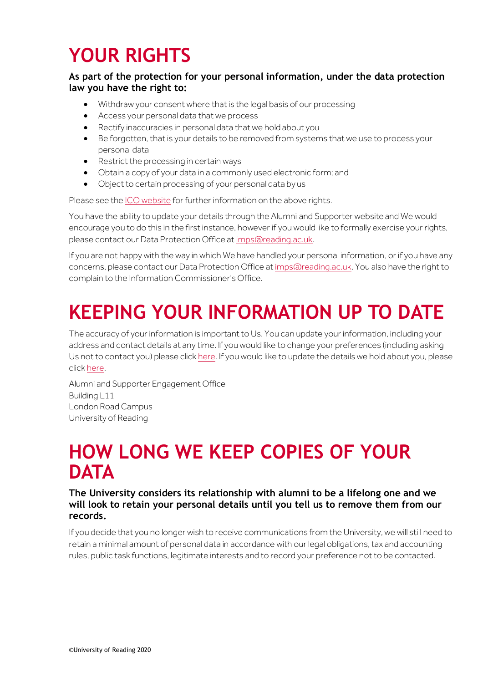# **YOUR RIGHTS**

#### **As part of the protection for your personal information, under the data protection law you have the right to:**

- Withdraw your consent where that is the legal basis of our processing
- Access your personal data that we process
- Rectify inaccuracies in personal data that we hold about you
- Be forgotten, that is your details to be removed from systems that we use to process your personal data
- Restrict the processing in certain ways
- Obtain a copy of your data in a commonly used electronic form; and
- Object to certain processing of your personal data by us

Please see th[e ICO website](https://ico.org.uk/for-organisations/guide-to-the-general-data-protection-regulation-gdpr/individual-rights/) for further information on the above rights.

You have the ability to update your details through the Alumni and Supporter website and We would encourage you to do this in the first instance, however if you would like to formally exercise your rights, please contact our Data Protection Office a[t imps@reading.ac.uk.](mailto:imps@reading.ac.uk)

If you are not happy with the way in which We have handled your personal information, or if you have any concerns, please contact our Data Protection Office a[t imps@reading.ac.uk.](mailto:imps@reading.ac.uk) You also have the right to complain to the Information Commissioner's Office.

# **KEEPING YOUR INFORMATION UP TO DATE**

The accuracy of your information is important to Us. You can update your information, including your address and contact details at any time. If you would like to change your preferences (including asking Us not to contact you) please clic[k here.](https://universityofreadingusergroup.formstack.com/forms/communications_preferences) If you would like to update the details we hold about you, please clic[k here.](https://universityofreadingusergroup.formstack.com/forms/update_your_details)

Alumni and Supporter Engagement Office Building L11 London Road Campus University of Reading

### **HOW LONG WE KEEP COPIES OF YOUR DATA**

**The University considers its relationship with alumni to be a lifelong one and we will look to retain your personal details until you tell us to remove them from our records.**

If you decide that you no longer wish to receive communications from the University, we will still need to retain a minimal amount of personal data in accordance with our legal obligations, tax and accounting rules, public task functions, legitimate interests and to record your preference not to be contacted.